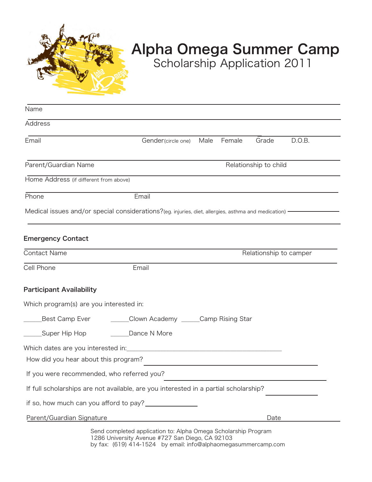

## Alpha Omega Summer Camp

Scholarship Application 2011

| Name                                       |                                                                                                                                                                                     |                       |                        |       |        |  |
|--------------------------------------------|-------------------------------------------------------------------------------------------------------------------------------------------------------------------------------------|-----------------------|------------------------|-------|--------|--|
| Address                                    |                                                                                                                                                                                     |                       |                        |       |        |  |
| Email                                      | Gender(circle one)                                                                                                                                                                  | Male                  | Female                 | Grade | D.O.B. |  |
| Parent/Guardian Name                       |                                                                                                                                                                                     | Relationship to child |                        |       |        |  |
| Home Address (if different from above)     |                                                                                                                                                                                     |                       |                        |       |        |  |
| Phone                                      | Email                                                                                                                                                                               |                       |                        |       |        |  |
|                                            | Medical issues and/or special considerations?(eg. injuries, diet, allergies, asthma and medication) —                                                                               |                       |                        |       |        |  |
| <b>Emergency Contact</b>                   |                                                                                                                                                                                     |                       |                        |       |        |  |
| Contact Name                               |                                                                                                                                                                                     |                       | Relationship to camper |       |        |  |
| Cell Phone                                 | Email                                                                                                                                                                               |                       |                        |       |        |  |
| <b>Participant Availability</b>            |                                                                                                                                                                                     |                       |                        |       |        |  |
| Which program(s) are you interested in:    |                                                                                                                                                                                     |                       |                        |       |        |  |
| Best Camp Ever                             | ______Clown Academy ______Camp Rising Star                                                                                                                                          |                       |                        |       |        |  |
| _______Super Hip Hop                       | Dance N More                                                                                                                                                                        |                       |                        |       |        |  |
|                                            |                                                                                                                                                                                     |                       |                        |       |        |  |
| How did you hear about this program?       |                                                                                                                                                                                     |                       |                        |       |        |  |
| If you were recommended, who referred you? |                                                                                                                                                                                     |                       |                        |       |        |  |
|                                            | If full scholarships are not available, are you interested in a partial scholarship?                                                                                                |                       |                        |       |        |  |
|                                            |                                                                                                                                                                                     |                       |                        |       |        |  |
| Parent/Guardian Signature                  |                                                                                                                                                                                     |                       |                        | Date  |        |  |
|                                            | Send completed application to: Alpha Omega Scholarship Program<br>1286 University Avenue #727 San Diego, CA 92103<br>by fax: (619) 414-1524 by email: info@alphaomegasummercamp.com |                       |                        |       |        |  |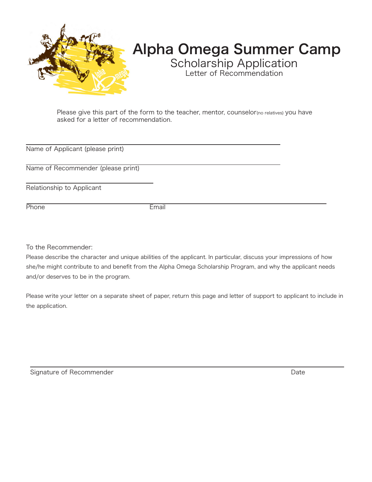

## Alpha Omega Summer Camp

Scholarship Application Letter of Recommendation

Please give this part of the form to the teacher, mentor, counselor(no relatives) you have asked for a letter of recommendation.

Name of Applicant (please print)

Name of Recommender (please print)

Relationship to Applicant

Phone Email

To the Recommender:

Please describe the character and unique abilities of the applicant. In particular, discuss your impressions of how she/he might contribute to and benefit from the Alpha Omega Scholarship Program, and why the applicant needs and/or deserves to be in the program.

Please write your letter on a separate sheet of paper, return this page and letter of support to applicant to include in the application.

Signature of Recommender **Date** Date of Recommender **Date**